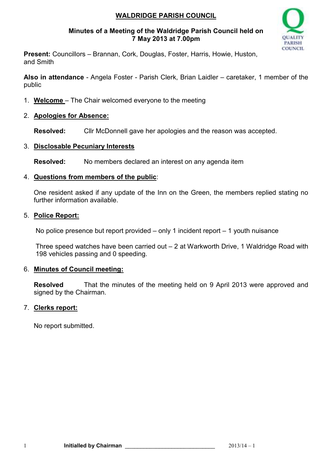### **WALDRIDGE PARISH COUNCIL**

#### **Minutes of a Meeting of the Waldridge Parish Council held on 7 May 2013 at 7.00pm**



**Present:** Councillors – Brannan, Cork, Douglas, Foster, Harris, Howie, Huston, and Smith

**Also in attendance** - Angela Foster - Parish Clerk, Brian Laidler – caretaker, 1 member of the public

- 1. **Welcome**  The Chair welcomed everyone to the meeting
- 2. **Apologies for Absence:**

**Resolved:** Cllr McDonnell gave her apologies and the reason was accepted.

### 3. **Disclosable Pecuniary Interests**

**Resolved:** No members declared an interest on any agenda item

### 4. **Questions from members of the public**:

One resident asked if any update of the Inn on the Green, the members replied stating no further information available

### 5. **Police Report:**

No police presence but report provided – only 1 incident report – 1 youth nuisance

Three speed watches have been carried out – 2 at Warkworth Drive, 1 Waldridge Road with 198 vehicles passing and 0 speeding.

#### 6. **Minutes of Council meeting:**

**Resolved** That the minutes of the meeting held on 9 April 2013 were approved and signed by the Chairman.

### 7. **Clerks report:**

No report submitted.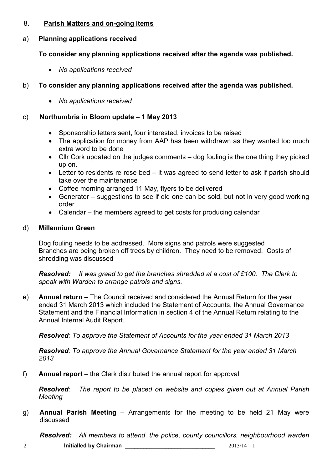### 8. **Parish Matters and on-going items**

### a) **Planning applications received**

# **To consider any planning applications received after the agenda was published.**

• *No applications received* 

# b) **To consider any planning applications received after the agenda was published.**

• *No applications received* 

# c) **Northumbria in Bloom update – 1 May 2013**

- Sponsorship letters sent, four interested, invoices to be raised
- The application for money from AAP has been withdrawn as they wanted too much extra word to be done
- Cllr Cork updated on the judges comments dog fouling is the one thing they picked up on.
- Letter to residents re rose bed it was agreed to send letter to ask if parish should take over the maintenance
- Coffee morning arranged 11 May, flyers to be delivered
- Generator suggestions to see if old one can be sold, but not in very good working order
- Calendar the members agreed to get costs for producing calendar

# d) **Millennium Green**

Dog fouling needs to be addressed. More signs and patrols were suggested Branches are being broken off trees by children. They need to be removed. Costs of shredding was discussed

*Resolved: It was greed to get the branches shredded at a cost of £100. The Clerk to speak with Warden to arrange patrols and signs.* 

e) **Annual return** – The Council received and considered the Annual Return for the year ended 31 March 2013 which included the Statement of Accounts, the Annual Governance Statement and the Financial Information in section 4 of the Annual Return relating to the Annual Internal Audit Report.

*Resolved: To approve the Statement of Accounts for the year ended 31 March 2013* 

*Resolved: To approve the Annual Governance Statement for the year ended 31 March 2013* 

f) **Annual report** – the Clerk distributed the annual report for approval

*Resolved: The report to be placed on website and copies given out at Annual Parish Meeting* 

g) **Annual Parish Meeting** – Arrangements for the meeting to be held 21 May were discussed

*Resolved: All members to attend, the police, county councillors, neighbourhood warden*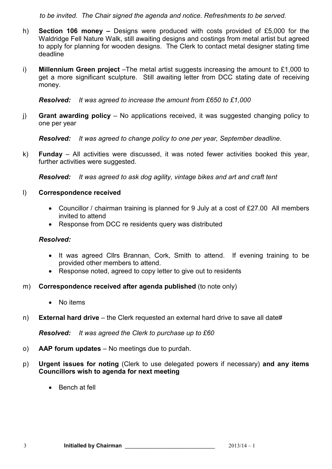*to be invited. The Chair signed the agenda and notice. Refreshments to be served.* 

- h) **Section 106 money** Designs were produced with costs provided of £5,000 for the Waldridge Fell Nature Walk, still awaiting designs and costings from metal artist but agreed to apply for planning for wooden designs. The Clerk to contact metal designer stating time deadline
- i) **Millennium Green project** –The metal artist suggests increasing the amount to £1,000 to get a more significant sculpture. Still awaiting letter from DCC stating date of receiving money.

*Resolved: It was agreed to increase the amount from £650 to £1,000* 

j) **Grant awarding policy** – No applications received, it was suggested changing policy to one per year

*Resolved: It was agreed to change policy to one per year, September deadline.*

k) **Funday** – All activities were discussed, it was noted fewer activities booked this year, further activities were suggested.

*Resolved: It was agreed to ask dog agility, vintage bikes and art and craft tent* 

- l) **Correspondence received** 
	- Councillor / chairman training is planned for 9 July at a cost of £27.00 All members invited to attend
	- Response from DCC re residents query was distributed

#### *Resolved:*

- It was agreed Cllrs Brannan, Cork, Smith to attend. If evening training to be provided other members to attend.
- Response noted, agreed to copy letter to give out to residents
- m) **Correspondence received after agenda published** (to note only)
	- No items
- n) **External hard drive**  the Clerk requested an external hard drive to save all date#

*Resolved: It was agreed the Clerk to purchase up to £60* 

- o) **AAP forum updates**  No meetings due to purdah.
- p) **Urgent issues for noting** (Clerk to use delegated powers if necessary) **and any items Councillors wish to agenda for next meeting** 
	- Bench at fell